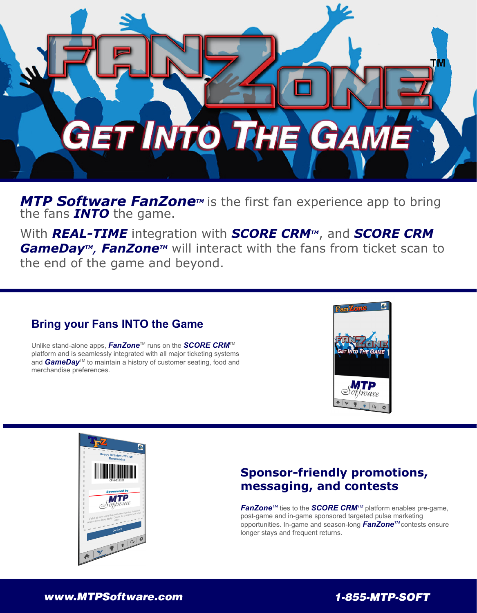

*MTP Software FanZone<sup>™</sup>* is the first fan experience app to bring the fans *INTO* the game.

With **REAL-TIME** integration with **SCORE CRM<sup>TM</sup>**, and **SCORE CRM GameDay<sup>™</sup>, FanZone™** will interact with the fans from ticket scan to the end of the game and beyond.

#### **Bring your Fans INTO the Game**

Unlike stand-alone apps, **FanZone**™ runs on the **SCORE CRM**<sup>™</sup> platform and is seamlessly integrated with all major ticketing systems and *GameDay*<sup>™</sup> to maintain a history of customer seating, food and merchandise preferences.





#### **Sponsor-friendly promotions, messaging, and contests**

*FanZoneTM* ties to the *SCORE CRMTM* platform enables pre-game, post-game and in-game sponsored targeted pulse marketing opportunities. In-game and season-long *FanZoneTM* contests ensure longer stays and frequent returns.

#### *www.MTPSoftware.com 1-855-MTP-SOFT*